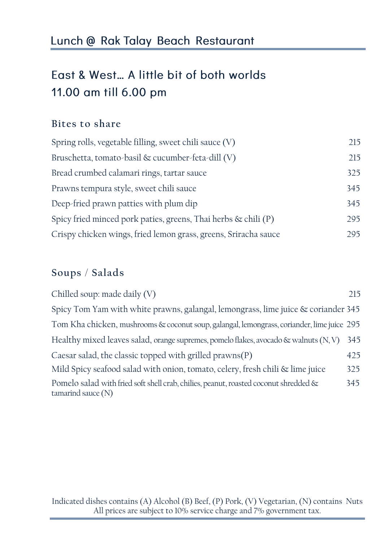### Lunch @ Rak Talay Beach Restaurant

# East & West... A little bit of both worlds 11.00 am till 6.00 pm

#### **Bites to share**

| Spring rolls, vegetable filling, sweet chili sauce (V)            | 215 |
|-------------------------------------------------------------------|-----|
| Bruschetta, tomato-basil & cucumber-feta-dill (V)                 | 215 |
| Bread crumbed calamari rings, tartar sauce                        | 325 |
| Prawns tempura style, sweet chili sauce                           | 345 |
| Deep-fried prawn patties with plum dip                            | 345 |
| Spicy fried minced pork paties, greens, Thai herbs $\&$ chili (P) | 295 |
| Crispy chicken wings, fried lemon grass, greens, Sriracha sauce   | 295 |

#### **Soups** / **Salads**

| Chilled soup: made daily (V)                                                                                 | 215 |
|--------------------------------------------------------------------------------------------------------------|-----|
| Spicy Tom Yam with white prawns, galangal, lemongrass, lime juice & coriander 345                            |     |
| Tom Kha chicken, mushrooms & coconut soup, galangal, lemongrass, coriander, lime juice 295                   |     |
| Healthy mixed leaves salad, orange supremes, pomelo flakes, avocado $\&$ walnuts $(N, V)$                    | 345 |
| Caesar salad, the classic topped with grilled prawns(P)                                                      | 425 |
| Mild Spicy seafood salad with onion, tomato, celery, fresh chili & lime juice                                | 325 |
| Pomelo salad with fried soft shell crab, chilies, peanut, roasted coconut shredded &<br>tamarind sauce $(N)$ | 345 |

Indicated dishes contains (A) Alcohol (B) Beef, (P) Pork, (V) Vegetarian, (N) contains Nuts All prices are subject to 10% service charge and 7% government tax.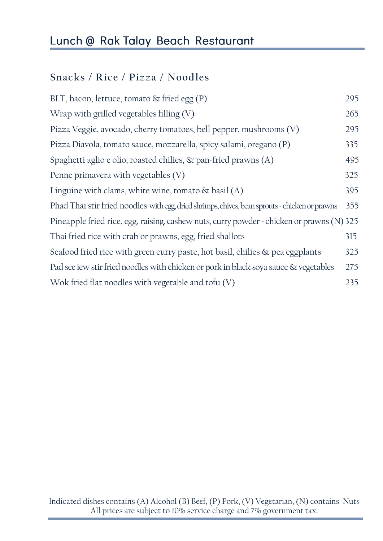## Lunch @ Rak Talay Beach Restaurant

### **Snacks / Rice / Pizza / Noodles**

| BLT, bacon, lettuce, tomato $\&$ fried egg (P)                                                 | 295 |
|------------------------------------------------------------------------------------------------|-----|
| Wrap with grilled vegetables filling $(V)$                                                     | 265 |
| Pizza Veggie, avocado, cherry tomatoes, bell pepper, mushrooms (V)                             | 295 |
| Pizza Diavola, tomato sauce, mozzarella, spicy salami, oregano (P)                             | 335 |
| Spaghetti aglio e olio, roasted chilies, $\&$ pan-fried prawns (A)                             | 495 |
| Penne primavera with vegetables $(V)$                                                          | 325 |
| Linguine with clams, white wine, tomato $\&$ basil (A)                                         | 395 |
| Phad Thai stir fried noodles with egg, dried shrimps, chives, bean sprouts - chicken or prawns | 355 |
| Pineapple fried rice, egg, raising, cashew nuts, curry powder - chicken or prawns (N) 325      |     |
| Thai fried rice with crab or prawns, egg, fried shallots                                       | 315 |
| Seafood fried rice with green curry paste, hot basil, chilies & pea eggplants                  | 325 |
| Pad see iew stir fried noodles with chicken or pork in black soya sauce & vegetables           | 275 |
| Wok fried flat noodles with vegetable and tofu $(V)$                                           | 235 |